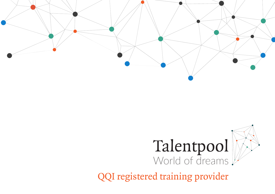

# Talentpool World of dreams

QQI registered training provider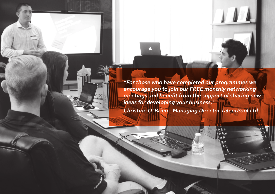*"For those who have completed our programmes we encourage you to join our FREE monthly networking meetings and benefit from the support of sharing new ideas for developing your business. "* 

*Christine O' Brien – Managing Director TalentPool Ltd*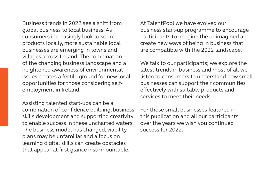Business trends in 2022 see a shift from global business to local business. As consumers increasingly look to source products locally, more sustainable local businesses are emerging in towns and villages across Ireland. The combination of the changing business landscape and a heightened awareness of environmental issues creates a fertile ground for new local opportunities for those considering selfemployment in Ireland.

Assisting talented start-ups can be a combination of confidence building, business skills development and supporting creativity to enable success in these uncharted waters. The business model has changed, viability plans may be unfamiliar and a focus on learning digital skills can create obstacles that appear at first glance insurmountable.

At TalentPool we have evolved our business start-up programme to encourage participants to imagine the unimagined and create new ways of being in business that are compatible with the 2022 landscape.

We talk to our participants; we explore the latest trends in business and most of all we listen to consumers to understand how small businesses can support their communities effectively with suitable products and services to meet their needs.

For those small businesses featured in this publication and all our participants over the years we wish you continued success for 2022.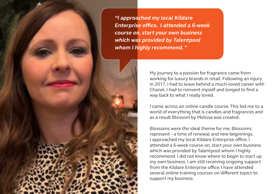*"I approached my local Kildare Enterprise office. I attended a 6-week course on, start your own business which was provided by Talentpool whom I highly recommend. "*

> My journey to a passion for fragrance came from working for luxury brands in retail. Following an injury in 2017, I had to leave behind a much-loved career with Chanel. I had to reinvent myself and longed to find a way back to what I really loved.

I came across an online candle course. This led me to a world of everything that is candles and fragrances and as a result Blossom by Melissa was created.

Blossoms were the ideal theme for me. Blossoms represent – a time of renewal and new beginnings. I approached my local Kildare Enterprise office. I attended a 6-week course on, start your own business which was provided by Talentpool whom I highly recommend. I did not know where to begin to start up my own business. I am still receiving ongoing support from the Kildare Enterprise office. I have attended several online training courses on different topics to support my business.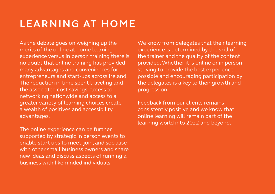## **LEARNING AT HOME**

As the debate goes on weighing up the merits of the online at home learning experience versus in person training there is no doubt that online training has provided many advantages and conveniences for entrepreneurs and start-ups across Ireland. The reduction in time spent traveling and the associated cost savings, access to networking nationwide and access to a greater variety of learning choices create a wealth of positives and accessibility advantages.

The online experience can be further supported by strategic in person events to enable start ups to meet, join, and socialise with other small business owners and share new ideas and discuss aspects of running a business with likeminded individuals.

We know from delegates that their learning experience is determined by the skill of the trainer and the quality of the content provided. Whether it is online or in person striving to provide the best experience possible and encouraging participation by the delegates is a key to their growth and progression.

Feedback from our clients remains consistently positive and we know that online learning will remain part of the learning world into 2022 and beyond.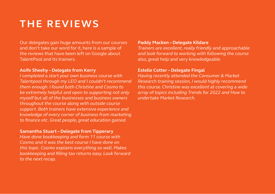### **THE REVIEWS**

Our delegates gain huge amounts from our courses and don't take our word for it, here is a sample of the reviews that have been left on Google about TalentPool and its trainers.

#### **Aoife Sheehy – Delegate from Kerry**

*I completed a start your own business course with Talentpool through my LEO and I couldn't recommend them enough. I found both Christine and Cosmo to be extremely helpful and open to supporting not only myself but all of the businesses and business owners throughout the course along with outside course support. Both trainers have extensive experience and knowledge of every corner of business from marketing to finance etc. Great people, great education gained.*

#### **Samantha Stuart – Delegate from Tipperary**

*Have done bookkeeping and form 11 course with Cosmo and it was the best course I have done on this topic. Cosmo explains everything so well. Makes bookkeeping and filling tax returns easy. Look forward to the next recap.*

#### **Paddy Macken – Delegate Kildare**

*Trainers are excellent, really friendly and approachable and look forward to working with following the course also, great help and very knowledgeable.*

#### **Estelle Cotter – Delegate Fingal**

*Having recently attended the Consumer & Market Research training session, I would highly recommend this course. Christine was excellent at covering a wide array of topics including Trends for 2022 and How to undertake Market Research.*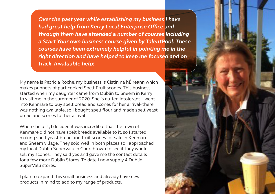*Over the past year while establishing my business I have had great help from Kerry Local Enterprise Office and through them have attended a number of courses including a Start Your own business course given by TalentPool. These courses have been extremely helpful in pointing me in the right direction and have helped to keep me focused and on track. Invaluable help!*

My name is Patricia Roche, my business is Cistin na hÉireann which makes punnets of part cooked Spelt Fruit scones. This business started when my daughter came from Dublin to Sneem in Kerry to visit me in the summer of 2020. She is gluten intolerant. I went into Kenmare to buy spelt bread and scones for her arrival- there was nothing available, so I bought spelt flour and made spelt yeast bread and scones for her arrival.

When she left, I decided it was incredible that the town of Kenmare did not have spelt breads available to it, so I started making spelt yeast bread and fruit scones for sale in Kenmare and Sneem village. They sold well in both places so I approached my local Dublin Supervalu in Churchtown to see if they would sell my scones. They said yes and gave me the contact details for a few more Dublin Stores. To date I now supply 4 Dublin SuperValu stores.

I plan to expand this small business and already have new products in mind to add to my range of products.